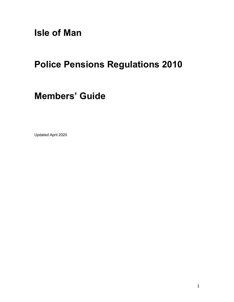Isle of Man

# Police Pensions Regulations 2010

# Members' Guide

Updated April 2020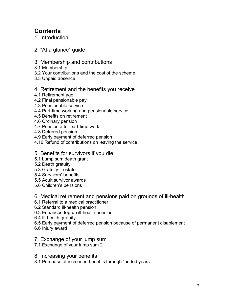# **Contents**

1. Introduction

- 2. "At a glance" guide
- 3. Membership and contributions
- 3.1 Membership
- 3.2 Your contributions and the cost of the scheme
- 3.3 Unpaid absence

# 4. Retirement and the benefits you receive

- 4.1 Retirement age
- 4.2 Final pensionable pay
- 4.3 Pensionable service
- 4.4 Part-time working and pensionable service
- 4.5 Benefits on retirement
- 4.6 Ordinary pension
- 4.7 Pension after part-time work
- 4.8 Deferred pension
- 4.9 Early payment of deferred pension
- 4.10 Refund of contributions on leaving the service

# 5. Benefits for survivors if you die

- 5.1 Lump sum death grant
- 5.2 Death gratuity
- 5.3 Gratuity estate
- 5.4 Survivors' benefits
- 5.5 Adult survivor awards
- 5.6 Children's pensions

# 6. Medical retirement and pensions paid on grounds of ill-health

- 6.1 Referral to a medical practitioner
- 6.2 Standard ill-health pension
- 6.3 Enhanced top-up ill-health pension
- 6.4 Ill-health gratuity
- 6.5 Early payment of deferred pension because of permanent disablement
- 6.6 Injury award
- 7. Exchange of your lump sum
- 7.1 Exchange of your lump sum 21
- 8. Increasing your benefits
- 8.1 Purchase of increased benefits through "added years"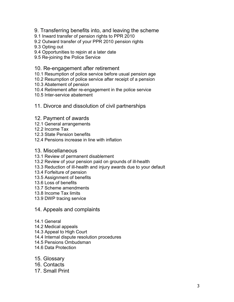- 9. Transferring benefits into, and leaving the scheme
- 9.1 Inward transfer of pension rights to PPR 2010
- 9.2 Outward transfer of your PPR 2010 pension rights
- 9.3 Opting out
- 9.4 Opportunities to rejoin at a later date
- 9.5 Re-joining the Police Service

#### 10. Re-engagement after retirement

- 10.1 Resumption of police service before usual pension age
- 10.2 Resumption of police service after receipt of a pension
- 10.3 Abatement of pension
- 10.4 Retirement after re-engagement in the police service
- 10.5 Inter-service abatement
- 11. Divorce and dissolution of civil partnerships

#### 12. Payment of awards

- 12.1 General arrangements
- 12.2 Income Tax
- 12.3 State Pension benefits
- 12.4 Pensions increase in line with inflation
- 13. Miscellaneous
- 13.1 Review of permanent disablement
- 13.2 Review of your pension paid on grounds of ill-health
- 13.3 Reduction of ill-health and injury awards due to your default
- 13.4 Forfeiture of pension
- 13.5 Assignment of benefits
- 13.6 Loss of benefits
- 13.7 Scheme amendments
- 13.8 Income Tax limits
- 13.9 DWP tracing service

#### 14. Appeals and complaints

- 14.1 General
- 14.2 Medical appeals
- 14.3 Appeal to High Court
- 14.4 Internal dispute resolution procedures
- 14.5 Pensions Ombudsman
- 14.6 Data Protection
- 15. Glossary
- 16. Contacts
- 17. Small Print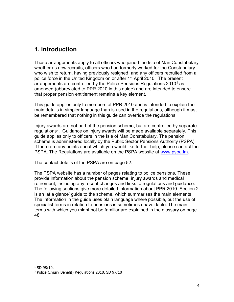# 1. Introduction

These arrangements apply to all officers who joined the Isle of Man Constabulary whether as new recruits, officers who had formerly worked for the Constabulary who wish to return, having previously resigned, and any officers recruited from a police force in the United Kingdom on or after 1<sup>st</sup> April 2010. The present arrangements are controlled by the Police Pensions Regulations 2010 $^{\rm 1}$  as amended (abbreviated to PPR 2010 in this guide) and are intended to ensure that proper pension entitlement remains a key element.

This guide applies only to members of PPR 2010 and is intended to explain the main details in simpler language than is used in the regulations, although it must be remembered that nothing in this guide can override the regulations.

Injury awards are not part of the pension scheme, but are controlled by separate regulations<sup>2</sup>. Guidance on injury awards will be made available separately. This guide applies only to officers in the Isle of Man Constabulary. The pension scheme is administered locally by the Public Sector Pensions Authority (PSPA). If there are any points about which you would like further help, please contact the PSPA. The Regulations are available on the PSPA website at www.pspa.im.

The contact details of the PSPA are on page 52.

The PSPA website has a number of pages relating to police pensions. These provide information about the pension scheme, injury awards and medical retirement, including any recent changes and links to regulations and guidance. The following sections give more detailed information about PPR 2010. Section 2 is an 'at a glance' guide to the scheme, which summarises the main elements. The information in the guide uses plain language where possible, but the use of specialist terms in relation to pensions is sometimes unavoidable. The main terms with which you might not be familiar are explained in the glossary on page 48.

 $\overline{a}$ 

 $1$  SD 98/10.

<sup>2</sup> Police (Injury Benefit) Regulations 2010, SD 97/10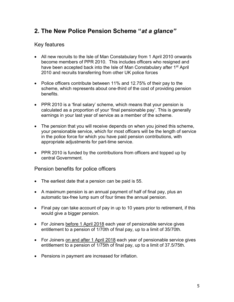# 2. The New Police Pension Scheme "at a glance"

# Key features

- All new recruits to the Isle of Man Constabulary from 1 April 2010 onwards become members of PPR 2010. This includes officers who resigned and have been accepted back into the Isle of Man Constabulary after 1<sup>st</sup> April 2010 and recruits transferring from other UK police forces
- Police officers contribute between 11% and 12.75% of their pay to the scheme, which represents about one-third of the cost of providing pension benefits.
- PPR 2010 is a 'final salary' scheme, which means that your pension is calculated as a proportion of your 'final pensionable pay'. This is generally earnings in your last year of service as a member of the scheme.
- The pension that you will receive depends on when you joined this scheme, your pensionable service, which for most officers will be the length of service in the police force for which you have paid pension contributions, with appropriate adjustments for part-time service.
- PPR 2010 is funded by the contributions from officers and topped up by central Government.

Pension benefits for police officers

- The earliest date that a pension can be paid is 55.
- A maximum pension is an annual payment of half of final pay, plus an automatic tax-free lump sum of four times the annual pension.
- Final pay can take account of pay in up to 10 years prior to retirement, if this would give a bigger pension.
- For Joiners before 1 April 2018 each year of pensionable service gives entitlement to a pension of 1/70th of final pay, up to a limit of 35/70th.
- For Joiners on and after 1 April 2018 each year of pensionable service gives entitlement to a pension of 1/75th of final pay, up to a limit of 37.5/75th.
- Pensions in payment are increased for inflation.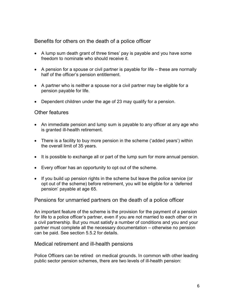# Benefits for others on the death of a police officer

- A lump sum death grant of three times' pay is payable and you have some freedom to nominate who should receive it.
- $\bullet$  A pension for a spouse or civil partner is payable for life these are normally half of the officer's pension entitlement.
- A partner who is neither a spouse nor a civil partner may be eligible for a pension payable for life.
- Dependent children under the age of 23 may qualify for a pension.

### Other features

- An immediate pension and lump sum is payable to any officer at any age who is granted ill-health retirement.
- There is a facility to buy more pension in the scheme ('added years') within the overall limit of 35 years.
- It is possible to exchange all or part of the lump sum for more annual pension.
- Every officer has an opportunity to opt out of the scheme.
- If you build up pension rights in the scheme but leave the police service (or opt out of the scheme) before retirement, you will be eligible for a 'deferred pension' payable at age 65.

#### Pensions for unmarried partners on the death of a police officer

An important feature of the scheme is the provision for the payment of a pension for life to a police officer's partner, even if you are not married to each other or in a civil partnership. But you must satisfy a number of conditions and you and your partner must complete all the necessary documentation – otherwise no pension can be paid. See section 5.5.2 for details.

#### Medical retirement and ill-health pensions

Police Officers can be retired on medical grounds. In common with other leading public sector pension schemes, there are two levels of ill-health pension: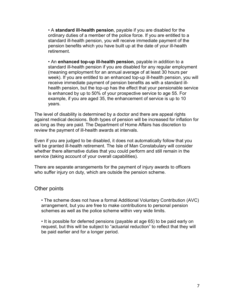• A standard ill-health pension, payable if you are disabled for the ordinary duties of a member of the police force. If you are entitled to a standard ill-health pension, you will receive immediate payment of the pension benefits which you have built up at the date of your ill-health retirement.

 • An enhanced top-up ill-health pension, payable in addition to a standard ill-health pension if you are disabled for any regular employment (meaning employment for an annual average of at least 30 hours per week). If you are entitled to an enhanced top-up ill-health pension, you will receive immediate payment of pension benefits as with a standard illhealth pension, but the top-up has the effect that your pensionable service is enhanced by up to 50% of your prospective service to age 55. For example, if you are aged 35, the enhancement of service is up to 10 years.

The level of disability is determined by a doctor and there are appeal rights against medical decisions. Both types of pension will be increased for inflation for as long as they are paid. The Department of Home Affairs has discretion to review the payment of ill-health awards at intervals.

Even if you are judged to be disabled, it does not automatically follow that you will be granted ill-health retirement. The Isle of Man Constabulary will consider whether there alternative duties that you could perform and still remain in the service (taking account of your overall capabilities).

There are separate arrangements for the payment of injury awards to officers who suffer injury on duty, which are outside the pension scheme.

# Other points

 • The scheme does not have a formal Additional Voluntary Contribution (AVC) arrangement, but you are free to make contributions to personal pension schemes as well as the police scheme within very wide limits.

 • It is possible for deferred pensions (payable at age 65) to be paid early on request, but this will be subject to "actuarial reduction" to reflect that they will be paid earlier and for a longer period.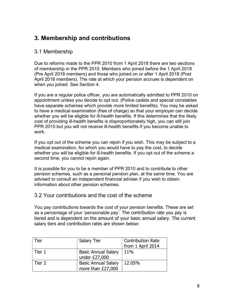# 3. Membership and contributions

# 3.1 Membership

Due to reforms made to the PPR 2010 from 1 April 2018 there are two sections of membership in the PPR 2010. Members who joined before the 1 April 2018 (Pre April 2018 members) and those who joined on or after 1 April 2018 (Post April 2018 members). The rate at which your pension accrues is dependent on when you joined. See Section 4.

If you are a regular police officer, you are automatically admitted to PPR 2010 on appointment unless you decide to opt out. (Police cadets and special constables have separate schemes which provide more limited benefits). You may be asked to have a medical examination (free of charge) so that your employer can decide whether you will be eligible for ill-health benefits. If this determines that the likely cost of providing ill-health benefits is disproportionately high, you can still join PPR 2010 but you will not receive ill-health benefits if you become unable to work.

If you opt out of the scheme you can rejoin if you wish. This may be subject to a medical examination, for which you would have to pay the cost, to decide whether you will be eligible for ill-health benefits. If you opt out of the scheme a second time, you cannot rejoin again.

It is possible for you to be a member of PPR 2010 and to contribute to other pension schemes, such as a personal pension plan, at the same time. You are advised to consult an independent financial adviser if you wish to obtain information about other pension schemes.

# 3.2 Your contributions and the cost of the scheme

You pay contributions towards the cost of your pension benefits. These are set as a percentage of your 'pensionable pay'. The contribution rate you pay is tiered and is dependent on the amount of your basic annual salary. The current salary tiers and contribution rates are shown below:

| Tier   | <b>Salary Tier</b>                              | <b>Contribution Rate</b><br>from 1 April 2014 |
|--------|-------------------------------------------------|-----------------------------------------------|
| Tier 1 | <b>Basic Annual Salary</b><br>under £27,000     | 11%                                           |
| Tier 2 | <b>Basic Annual Salary</b><br>more than £27,000 | 12.05%                                        |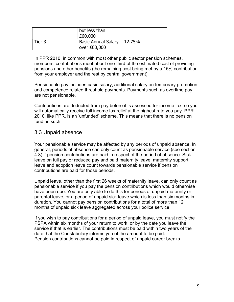|        | but less than<br>£60,000                       |  |
|--------|------------------------------------------------|--|
| Tier 3 | Basic Annual Salary   12.75%<br>over $E60,000$ |  |

In PPR 2010, in common with most other public sector pension schemes, members' contributions meet about one-third of the estimated cost of providing pensions and other benefits (the remaining cost being met by a 15% contribution from your employer and the rest by central government).

Pensionable pay includes basic salary, additional salary on temporary promotion and competence related threshold payments. Payments such as overtime pay are not pensionable.

Contributions are deducted from pay before it is assessed for income tax, so you will automatically receive full income tax relief at the highest rate you pay. PPR 2010, like PPR, is an 'unfunded' scheme. This means that there is no pension fund as such.

### 3.3 Unpaid absence

Your pensionable service may be affected by any periods of unpaid absence. In general, periods of absence can only count as pensionable service (see section 4.3) if pension contributions are paid in respect of the period of absence. Sick leave on full pay or reduced pay and paid maternity leave, maternity support leave and adoption leave count towards pensionable service if pension contributions are paid for those periods.

Unpaid leave, other than the first 26 weeks of maternity leave, can only count as pensionable service if you pay the pension contributions which would otherwise have been due. You are only able to do this for periods of unpaid maternity or parental leave, or a period of unpaid sick leave which is less than six months in duration. You cannot pay pension contributions for a total of more than 12 months of unpaid sick leave aggregated across your police service.

If you wish to pay contributions for a period of unpaid leave, you must notify the PSPA within six months of your return to work, or by the date you leave the service if that is earlier. The contributions must be paid within two years of the date that the Constabulary informs you of the amount to be paid. Pension contributions cannot be paid in respect of unpaid career breaks.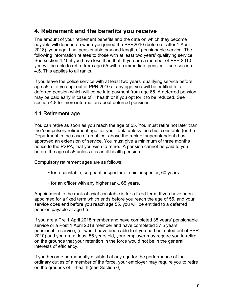# 4. Retirement and the benefits you receive

The amount of your retirement benefits and the date on which they become payable will depend on when you joined the PPR2010 (before or after 1 April 2018), your age, final pensionable pay and length of pensionable service. The following information relates to those with at least two years' qualifying service. See section 4.10 if you have less than that. If you are a member of PPR 2010 you will be able to retire from age 55 with an immediate pension – see section 4.5. This applies to all ranks.

If you leave the police service with at least two years' qualifying service before age 55, or if you opt out of PPR 2010 at any age, you will be entitled to a deferred pension which will come into payment from age 65. A deferred pension may be paid early in case of ill health or if you opt for it to be reduced. See section 4.8 for more information about deferred pensions.

# 4.1 Retirement age

You can retire as soon as you reach the age of 55. You must retire not later than the 'compulsory retirement age' for your rank, unless the chief constable (or the Department in the case of an officer above the rank of superintendent) has approved an extension of service. You must give a minimum of three months notice to the PSPA, that you wish to retire. A pension cannot be paid to you before the age of 55 unless it is an ill-health pension.

Compulsory retirement ages are as follows:

- for a constable, sergeant. inspector or chief inspector, 60 years
- for an officer with any higher rank, 65 years.

Appointment to the rank of chief constable is for a fixed term. If you have been appointed for a fixed term which ends before you reach the age of 55, and your service does end before you reach age 55, you will be entitled to a deferred pension payable at age 65.

If you are a Pre 1 April 2018 member and have completed 35 years' pensionable service or a Post 1 April 2018 member and have completed 37.5 years' pensionable service, (or would have been able to if you had not opted out of PPR 2010) and you are at least 55 years old, your employer may require you to retire on the grounds that your retention in the force would not be in the general interests of efficiency.

If you become permanently disabled at any age for the performance of the ordinary duties of a member of the force, your employer may require you to retire on the grounds of ill-health (see Section 6).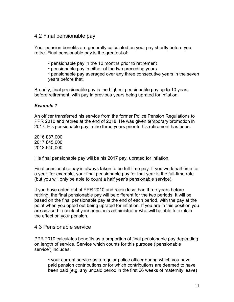# 4.2 Final pensionable pay

Your pension benefits are generally calculated on your pay shortly before you retire. Final pensionable pay is the greatest of:

- pensionable pay in the 12 months prior to retirement
- pensionable pay in either of the two preceding years

 • pensionable pay averaged over any three consecutive years in the seven years before that.

Broadly, final pensionable pay is the highest pensionable pay up to 10 years before retirement, with pay in previous years being uprated for inflation.

#### Example 1

An officer transferred his service from the former Police Pension Regulations to PPR 2010 and retires at the end of 2018. He was given temporary promotion in 2017. His pensionable pay in the three years prior to his retirement has been:

2016 £37,000 2017 £45,000 2018 £40,000

His final pensionable pay will be his 2017 pay, uprated for inflation.

Final pensionable pay is always taken to be full-time pay. If you work half-time for a year, for example, your final pensionable pay for that year is the full-time rate (but you will only be able to count a half year's pensionable service).

If you have opted out of PPR 2010 and rejoin less than three years before retiring, the final pensionable pay will be different for the two periods. It will be based on the final pensionable pay at the end of each period, with the pay at the point when you opted out being uprated for inflation. If you are in this position you are advised to contact your pension's administrator who will be able to explain the effect on your pension.

#### 4.3 Pensionable service

PPR 2010 calculates benefits as a proportion of final pensionable pay depending on length of service. Service which counts for this purpose ('pensionable service') includes:

 • your current service as a regular police officer during which you have paid pension contributions or for which contributions are deemed to have been paid (e.g. any unpaid period in the first 26 weeks of maternity leave)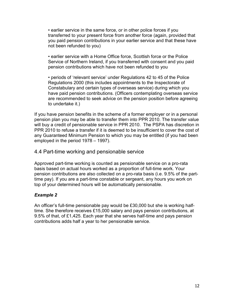• earlier service in the same force, or in other police forces if you transferred to your present force from another force (again, provided that you paid pension contributions in your earlier service and that these have not been refunded to you)

 • earlier service with a Home Office force, Scottish force or the Police Service of Northern Ireland, if you transferred with consent and you paid pension contributions which have not been refunded to you

 • periods of 'relevant service' under Regulations 42 to 45 of the Police Regulations 2000 (this includes appointments to the Inspectorate of Constabulary and certain types of overseas service) during which you have paid pension contributions. (Officers contemplating overseas service are recommended to seek advice on the pension position before agreeing to undertake it.)

If you have pension benefits in the scheme of a former employer or in a personal pension plan you may be able to transfer them into PPR 2010. The transfer value will buy a credit of pensionable service in PPR 2010. The PSPA has discretion in PPR 2010 to refuse a transfer if it is deemed to be insufficient to cover the cost of any Guaranteed Minimum Pension to which you may be entitled (if you had been employed in the period 1978 – 1997).

#### 4.4 Part-time working and pensionable service

Approved part-time working is counted as pensionable service on a pro-rata basis based on actual hours worked as a proportion of full-time work. Your pension contributions are also collected on a pro-rata basis (i.e. 9.5% of the parttime pay). If you are a part-time constable or sergeant, any hours you work on top of your determined hours will be automatically pensionable.

#### Example 2

An officer's full-time pensionable pay would be £30,000 but she is working halftime. She therefore receives £15,000 salary and pays pension contributions, at 9.5% of that, of £1,425. Each year that she serves half-time and pays pension contributions adds half a year to her pensionable service.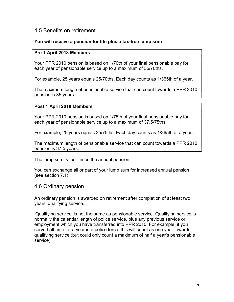### 4.5 Benefits on retirement

#### You will receive a pension for life plus a tax-free lump sum

#### Pre 1 April 2018 Members

Your PPR 2010 pension is based on 1/70th of your final pensionable pay for each year of pensionable service up to a maximum of 35/70ths.

For example, 25 years equals 25/70ths. Each day counts as 1/365th of a year.

The maximum length of pensionable service that can count towards a PPR 2010 pension is 35 years.

#### Post 1 April 2018 Members

Your PPR 2010 pension is based on 1/75th of your final pensionable pay for each year of pensionable service up to a maximum of 37.5/75ths.

For example, 25 years equals 25/75ths. Each day counts as 1/365th of a year.

The maximum length of pensionable service that can count towards a PPR 2010 pension is 37.5 years.

The lump sum is four times the annual pension.

You can exchange all or part of your lump sum for increased annual pension (see section 7.1).

#### 4.6 Ordinary pension

An ordinary pension is awarded on retirement after completion of at least two years' qualifying service.

'Qualifying service' is not the same as pensionable service. Qualifying service is normally the calendar length of police service, plus any previous service or employment which you have transferred into PPR 2010. For example, if you serve half time for a year in a police force, this will count as one year towards qualifying service (but could only count a maximum of half a year's pensionable service).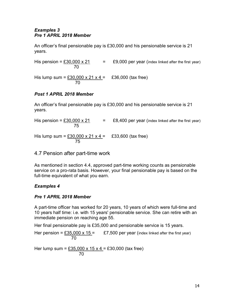#### Examples 3 Pre 1 APRIL 2018 Member

An officer's final pensionable pay is £30,000 and his pensionable service is 21 years.

 $=$  £9,000 per year (index linked after the first year) His pension =  $\frac{\text{£30,000 x 21}}{70}$ 

His lump sum =  $£30,000 \times 21 \times 4 =$  £36,000 (tax free) <u>70</u>

### Post 1 APRIL 2018 Member

An officer's final pensionable pay is £30,000 and his pensionable service is 21 years.

His pension =  $£30,000 \times 21$  = £8,400 per year (index linked after the first year) 75

His lump sum =  $£30,000 \times 21 \times 4 =$  £33,600 (tax free) <u>75 and 2011 and 2012 and 2014 and 2014 and 2014 and 2014 and 2014 and 2014 and 2014 and 2014 and 2014 and 201</u>

# 4.7 Pension after part-time work

As mentioned in section 4.4, approved part-time working counts as pensionable service on a pro-rata basis. However, your final pensionable pay is based on the full-time equivalent of what you earn.

# Examples 4

# Pre 1 APRIL 2018 Member

A part-time officer has worked for 20 years, 10 years of which were full-time and 10 years half time: i.e. with 15 years' pensionable service. She can retire with an immediate pension on reaching age 55.

Her final pensionable pay is £35,000 and pensionable service is 15 years.

Her pension =  $£35,000 \times 15 =$  £7,500 per year (index linked after the first year) **70** 

Her lump sum = <u>£35,000 x 15 x 4 =</u> £30,000 (tax free) <u>70</u>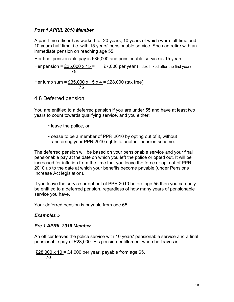#### Post 1 APRIL 2018 Member

A part-time officer has worked for 20 years, 10 years of which were full-time and 10 years half time: i.e. with 15 years' pensionable service. She can retire with an immediate pension on reaching age 55.

Her final pensionable pay is £35,000 and pensionable service is 15 years.

Her pension = £35,000 x 15 =  $E7,000$  per year (index linked after the first year) 75

Her lump sum =  $£35,000 \times 15 \times 4 = £28,000$  (tax free) <u>75 and 2011 and 2012 and 2014 and 2014 and 2014 and 2014 and 2014 and 2014 and 2014 and 2014 and 2014 and 201</u>

4.8 Deferred pension

You are entitled to a deferred pension if you are under 55 and have at least two years to count towards qualifying service, and you either:

- leave the police, or
- cease to be a member of PPR 2010 by opting out of it, without transferring your PPR 2010 rights to another pension scheme.

The deferred pension will be based on your pensionable service and your final pensionable pay at the date on which you left the police or opted out. It will be increased for inflation from the time that you leave the force or opt out of PPR 2010 up to the date at which your benefits become payable (under Pensions Increase Act legislation).

If you leave the service or opt out of PPR 2010 before age 55 then you can only be entitled to a deferred pension, regardless of how many years of pensionable service you have.

Your deferred pension is payable from age 65.

#### Examples 5

#### Pre 1 APRIL 2018 Member

An officer leaves the police service with 10 years' pensionable service and a final pensionable pay of £28,000. His pension entitlement when he leaves is:

£28,000 x 10 = £4,000 per year, payable from age 65. 70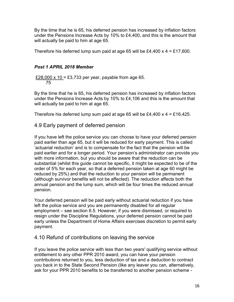By the time that he is 65, his deferred pension has increased by inflation factors under the Pensions Increase Acts by 10% to £4,400, and this is the amount that will actually be paid to him at age 65.

Therefore his deferred lump sum paid at age 65 will be £4,400  $\times$  4 = £17,600.

#### Post 1 APRIL 2018 Member

£28,000 x 10 = £3,733 per year, payable from age 65. 75

By the time that he is 65, his deferred pension has increased by inflation factors under the Pensions Increase Acts by 10% to £4,106 and this is the amount that will actually be paid to him at age 65.

Therefore his deferred lump sum paid at age 65 will be £4,400  $\times$  4 = £16,425.

# 4.9 Early payment of deferred pension

If you have left the police service you can choose to have your deferred pension paid earlier than age 65, but it will be reduced for early payment. This is called 'actuarial reduction' and is to compensate for the fact that the pension will be paid earlier and for a longer period. Your pension's administrator can provide you with more information, but you should be aware that the reduction can be substantial (whilst this guide cannot be specific, it might be expected to be of the order of 5% for each year, so that a deferred pension taken at age 60 might be reduced by 25%) and that the reduction to your pension will be permanent (although survivor benefits will not be affected). The reduction affects both the annual pension and the lump sum, which will be four times the reduced annual pension.

Your deferred pension will be paid early without actuarial reduction if you have left the police service and you are permanently disabled for all regular employment – see section 6.5. However, if you were dismissed, or required to resign under the Discipline Regulations, your deferred pension cannot be paid early unless the Department of Home Affairs exercises discretion to permit early payment.

# 4.10 Refund of contributions on leaving the service

If you leave the police service with less than two years' qualifying service without entitlement to any other PPR 2010 award, you can have your pension contributions returned to you, less deduction of tax and a deduction to contract you back in to the State Second Pension (like any leaver you can, alternatively, ask for your PPR 2010 benefits to be transferred to another pension scheme -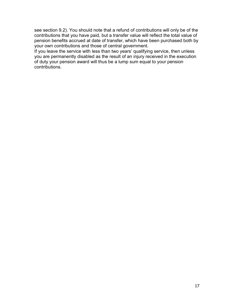see section 9.2). You should note that a refund of contributions will only be of the contributions that you have paid, but a transfer value will reflect the total value of pension benefits accrued at date of transfer, which have been purchased both by your own contributions and those of central government.

If you leave the service with less than two years' qualifying service, then unless you are permanently disabled as the result of an injury received in the execution of duty your pension award will thus be a lump sum equal to your pension contributions.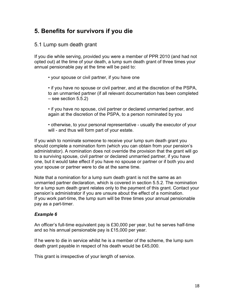# 5. Benefits for survivors if you die

# 5.1 Lump sum death grant

If you die while serving, provided you were a member of PPR 2010 (and had not opted out) at the time of your death, a lump sum death grant of three times your annual pensionable pay at the time will be paid to:

• your spouse or civil partner, if you have one

 • if you have no spouse or civil partner, and at the discretion of the PSPA, to an unmarried partner (if all relevant documentation has been completed  $-$  see section 5.5.2)

 • if you have no spouse, civil partner or declared unmarried partner, and again at the discretion of the PSPA, to a person nominated by you

 • otherwise, to your personal representative - usually the executor of your will - and thus will form part of your estate.

If you wish to nominate someone to receive your lump sum death grant you should complete a nomination form (which you can obtain from your pension's administrator). A nomination does not override the provision that the grant will go to a surviving spouse, civil partner or declared unmarried partner, if you have one, but it would take effect if you have no spouse or partner or if both you and your spouse or partner were to die at the same time.

Note that a nomination for a lump sum death grant is not the same as an unmarried partner declaration, which is covered in section 5.5.2. The nomination for a lump sum death grant relates only to the payment of this grant. Contact your pension's administrator if you are unsure about the effect of a nomination. If you work part-time, the lump sum will be three times your annual pensionable pay as a part-timer.

# Example 6

An officer's full-time equivalent pay is £30,000 per year, but he serves half-time and so his annual pensionable pay is £15,000 per year.

If he were to die in service whilst he is a member of the scheme, the lump sum death grant payable in respect of his death would be £45,000.

This grant is irrespective of your length of service.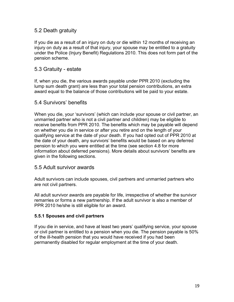# 5.2 Death gratuity

If you die as a result of an injury on duty or die within 12 months of receiving an injury on duty as a result of that injury, your spouse may be entitled to a gratuity under the Police (Injury Benefit) Regulations 2010. This does not form part of the pension scheme.

### 5.3 Gratuity - estate

If, when you die, the various awards payable under PPR 2010 (excluding the lump sum death grant) are less than your total pension contributions, an extra award equal to the balance of those contributions will be paid to your estate.

# 5.4 Survivors' benefits

When you die, your 'survivors' (which can include your spouse or civil partner, an unmarried partner who is not a civil partner and children) may be eligible to receive benefits from PPR 2010. The benefits which may be payable will depend on whether you die in service or after you retire and on the length of your qualifying service at the date of your death. If you had opted out of PPR 2010 at the date of your death, any survivors' benefits would be based on any deferred pension to which you were entitled at the time (see section 4.8 for more information about deferred pensions). More details about survivors' benefits are given in the following sections.

#### 5.5 Adult survivor awards

Adult survivors can include spouses, civil partners and unmarried partners who are not civil partners.

All adult survivor awards are payable for life, irrespective of whether the survivor remarries or forms a new partnership. If the adult survivor is also a member of PPR 2010 he/she is still eligible for an award.

#### 5.5.1 Spouses and civil partners

If you die in service, and have at least two years' qualifying service, your spouse or civil partner is entitled to a pension when you die. The pension payable is 50% of the ill-health pension that you would have received if you had been permanently disabled for regular employment at the time of your death.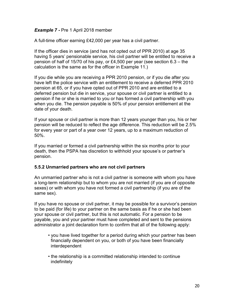#### Example 7 - Pre 1 April 2018 member

A full-time officer earning £42,000 per year has a civil partner.

If the officer dies in service (and has not opted out of PPR 2010) at age 35 having 5 years' pensionable service, his civil partner will be entitled to receive a pension of half of 15/70 of his pay, or £4,500 per year (see section 6.3 – the calculation is the same as for the officer in Example 11.)

If you die while you are receiving a PPR 2010 pension, or if you die after you have left the police service with an entitlement to receive a deferred PPR 2010 pension at 65, or if you have opted out of PPR 2010 and are entitled to a deferred pension but die in service, your spouse or civil partner is entitled to a pension if he or she is married to you or has formed a civil partnership with you when you die. The pension payable is 50% of your pension entitlement at the date of your death.

If your spouse or civil partner is more than 12 years younger than you, his or her pension will be reduced to reflect the age difference. This reduction will be 2.5% for every year or part of a year over 12 years, up to a maximum reduction of 50%.

If you married or formed a civil partnership within the six months prior to your death, then the PSPA has discretion to withhold your spouse's or partner's pension.

#### 5.5.2 Unmarried partners who are not civil partners

An unmarried partner who is not a civil partner is someone with whom you have a long-term relationship but to whom you are not married (if you are of opposite sexes) or with whom you have not formed a civil partnership (if you are of the same sex).

If you have no spouse or civil partner, it may be possible for a survivor's pension to be paid (for life) to your partner on the same basis as if he or she had been your spouse or civil partner, but this is not automatic. For a pension to be payable, you and your partner must have completed and sent to the pensions administrator a joint declaration form to confirm that all of the following apply:

- you have lived together for a period during which your partner has been financially dependent on you, or both of you have been financially interdependent
- the relationship is a committed relationship intended to continue indefinitely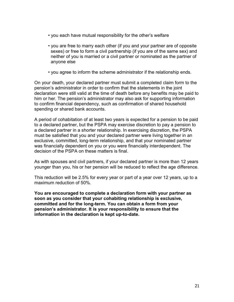- you each have mutual responsibility for the other's welfare
- you are free to marry each other (if you and your partner are of opposite sexes) or free to form a civil partnership (if you are of the same sex) and neither of you is married or a civil partner or nominated as the partner of anyone else
- you agree to inform the scheme administrator if the relationship ends.

On your death, your declared partner must submit a completed claim form to the pension's administrator in order to confirm that the statements in the joint declaration were still valid at the time of death before any benefits may be paid to him or her. The pension's administrator may also ask for supporting information to confirm financial dependency, such as confirmation of shared household spending or shared bank accounts.

A period of cohabitation of at least two years is expected for a pension to be paid to a declared partner, but the PSPA may exercise discretion to pay a pension to a declared partner in a shorter relationship. In exercising discretion, the PSPA must be satisfied that you and your declared partner were living together in an exclusive, committed, long-term relationship, and that your nominated partner was financially dependent on you or you were financially interdependent. The decision of the PSPA on these matters is final.

As with spouses and civil partners, if your declared partner is more than 12 years younger than you, his or her pension will be reduced to reflect the age difference.

This reduction will be 2.5% for every year or part of a year over 12 years, up to a maximum reduction of 50%.

You are encouraged to complete a declaration form with your partner as soon as you consider that your cohabiting relationship is exclusive, committed and for the long-term. You can obtain a form from your pension's administrator. It is your responsibility to ensure that the information in the declaration is kept up-to-date.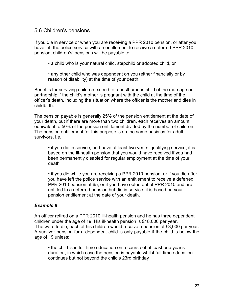### 5.6 Children's pensions

If you die in service or when you are receiving a PPR 2010 pension, or after you have left the police service with an entitlement to receive a deferred PPR 2010 pension, children's' pensions will be payable to:

- a child who is your natural child, stepchild or adopted child, or
- any other child who was dependent on you (either financially or by reason of disability) at the time of your death.

Benefits for surviving children extend to a posthumous child of the marriage or partnership if the child's mother is pregnant with the child at the time of the officer's death, including the situation where the officer is the mother and dies in childbirth.

The pension payable is generally 25% of the pension entitlement at the date of your death, but if there are more than two children, each receives an amount equivalent to 50% of the pension entitlement divided by the number of children. The pension entitlement for this purpose is on the same basis as for adult survivors, i.e.:

 • if you die in service, and have at least two years' qualifying service, it is based on the ill-health pension that you would have received if you had been permanently disabled for regular employment at the time of your death

 • if you die while you are receiving a PPR 2010 pension, or if you die after you have left the police service with an entitlement to receive a deferred PPR 2010 pension at 65, or if you have opted out of PPR 2010 and are entitled to a deferred pension but die in service, it is based on your pension entitlement at the date of your death.

#### Example 8

An officer retired on a PPR 2010 ill-health pension and he has three dependent children under the age of 19. His ill-health pension is £18,000 per year. If he were to die, each of his children would receive a pension of £3,000 per year. A survivor pension for a dependent child is only payable if the child is below the age of 19 unless:

 • the child is in full-time education on a course of at least one year's duration, in which case the pension is payable whilst full-time education continues but not beyond the child's 23rd birthday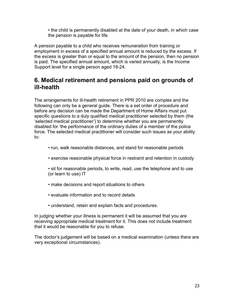• the child is permanently disabled at the date of your death, in which case the pension is payable for life.

A pension payable to a child who receives remuneration from training or employment in excess of a specified annual amount is reduced by the excess. If the excess is greater than or equal to the amount of the pension, then no pension is paid. The specified annual amount, which is varied annually, is the Income Support level for a single person aged 18-24.

# 6. Medical retirement and pensions paid on grounds of ill-health

The arrangements for ill-health retirement in PPR 2010 are complex and the following can only be a general guide. There is a set order of procedure and before any decision can be made the Department of Home Affairs must put specific questions to a duly qualified medical practitioner selected by them (the 'selected medical practitioner') to determine whether you are permanently disabled for 'the performance of the ordinary duties of a member of the police force. The selected medical practitioner will consider such issues as your ability to:

- run, walk reasonable distances, and stand for reasonable periods
- exercise reasonable physical force in restraint and retention in custody
- sit for reasonable periods, to write, read, use the telephone and to use (or learn to use) IT
- make decisions and report situations to others
- evaluate information and to record details
- understand, retain and explain facts and procedures.

In judging whether your illness is permanent it will be assumed that you are receiving appropriate medical treatment for it. This does not include treatment that it would be reasonable for you to refuse.

The doctor's judgement will be based on a medical examination (unless there are very exceptional circumstances).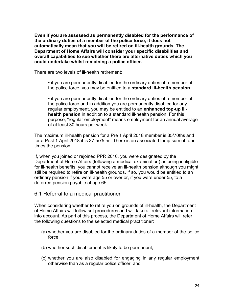Even if you are assessed as permanently disabled for the performance of the ordinary duties of a member of the police force, it does not automatically mean that you will be retired on ill-health grounds. The Department of Home Affairs will consider your specific disabilities and overall capabilities to see whether there are alternative duties which you could undertake whilst remaining a police officer.

There are two levels of ill-health retirement:

 • if you are permanently disabled for the ordinary duties of a member of the police force, you may be entitled to a standard ill-health pension

 • if you are permanently disabled for the ordinary duties of a member of the police force and in addition you are permanently disabled for any regular employment, you may be entitled to an enhanced top-up illhealth pension in addition to a standard ill-health pension. For this purpose, "regular employment" means employment for an annual average of at least 30 hours per week.

The maximum ill-health pension for a Pre 1 April 2018 member is 35/70ths and for a Post 1 April 2018 it is 37.5/75ths. There is an associated lump sum of four times the pension.

If, when you joined or rejoined PPR 2010, you were designated by the Department of Home Affairs (following a medical examination) as being ineligible for ill-health benefits, you cannot receive an ill-health pension although you might still be required to retire on ill-health grounds. If so, you would be entitled to an ordinary pension if you were age 55 or over or, if you were under 55, to a deferred pension payable at age 65.

#### 6.1 Referral to a medical practitioner

When considering whether to retire you on grounds of ill-health, the Department of Home Affairs will follow set procedures and will take all relevant information into account. As part of this process, the Department of Home Affairs will refer the following questions to the selected medical practitioner:

- (a) whether you are disabled for the ordinary duties of a member of the police force;
- (b) whether such disablement is likely to be permanent;
- (c) whether you are also disabled for engaging in any regular employment otherwise than as a regular police officer; and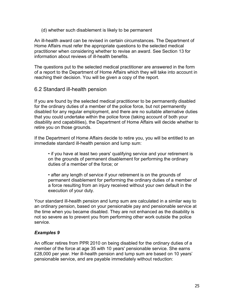(d) whether such disablement is likely to be permanent

An ill-health award can be revised in certain circumstances. The Department of Home Affairs must refer the appropriate questions to the selected medical practitioner when considering whether to revise an award. See Section 13 for information about reviews of ill-health benefits.

The questions put to the selected medical practitioner are answered in the form of a report to the Department of Home Affairs which they will take into account in reaching their decision. You will be given a copy of the report.

6.2 Standard ill-health pension

If you are found by the selected medical practitioner to be permanently disabled for the ordinary duties of a member of the police force, but not permanently disabled for any regular employment, and there are no suitable alternative duties that you could undertake within the police force (taking account of both your disability and capabilities), the Department of Home Affairs will decide whether to retire you on those grounds.

If the Department of Home Affairs decide to retire you, you will be entitled to an immediate standard ill-health pension and lump sum:

 • if you have at least two years' qualifying service and your retirement is on the grounds of permanent disablement for performing the ordinary duties of a member of the force; or

 • after any length of service if your retirement is on the grounds of permanent disablement for performing the ordinary duties of a member of a force resulting from an injury received without your own default in the execution of your duty.

Your standard ill-health pension and lump sum are calculated in a similar way to an ordinary pension, based on your pensionable pay and pensionable service at the time when you became disabled. They are not enhanced as the disability is not so severe as to prevent you from performing other work outside the police service.

#### Examples 9

An officer retires from PPR 2010 on being disabled for the ordinary duties of a member of the force at age 35 with 10 years' pensionable service. She earns £28,000 per year. Her ill-health pension and lump sum are based on 10 years' pensionable service, and are payable immediately without reduction: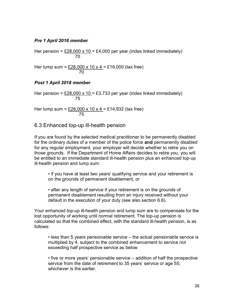#### Pre 1 April 2018 member

Her pension =  $\underline{£28,000 \times 10}$  = £4,000 per year (index linked immediately) 70

Her lump sum = <u>£28,000 x 10 x 4 =</u> £16,000 (tax free) <u>70</u>

#### Post 1 April 2018 member

Her pension =  $£28,000 \times 10 = £3,733$  per year (index linked immediately) <u>75 and 2011 and 2012 and 2014 and 2014 and 2014 and 2014 and 2014 and 2014 and 2014 and 2014 and 2014 and 201</u>

Her lump sum =  $£28,000 \times 10 \times 4 = £14,932$  (tax free) <u>75 and 2011 and 2012 and 2014 and 2014 and 2014 and 2014 and 2014 and 2014 and 2014 and 2014 and 2014 and 201</u>

#### 6.3 Enhanced top-up ill-health pension

If you are found by the selected medical practitioner to be permanently disabled for the ordinary duties of a member of the police force and permanently disabled for any regular employment, your employer will decide whether to retire you on those grounds. If the Department of Home Affairs decides to retire you, you will be entitled to an immediate standard ill-health pension plus an enhanced top-up ill-health pension and lump sum:

 • if you have at least two years' qualifying service and your retirement is on the grounds of permanent disablement, or

 • after any length of service if your retirement is on the grounds of permanent disablement resulting from an injury received without your default in the execution of your duty (see also section 6.6).

Your enhanced top-up ill-health pension and lump sum are to compensate for the lost opportunity of working until normal retirement. The top-up pension is calculated so that the combined effect, with the standard ill-health pension, is as follows:

 • less than 5 years pensionable service – the actual pensionable service is multiplied by 4, subject to the combined enhancement to service not exceeding half prospective service as below

 • five or more years' pensionable service – addition of half the prospective service from the date of retirement to 35 years' service or age 55, whichever is the earlier.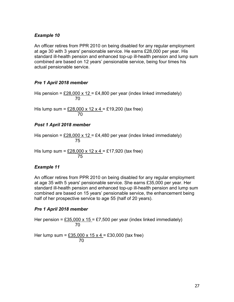#### Example 10

An officer retires from PPR 2010 on being disabled for any regular employment at age 30 with 3 years' pensionable service. He earns £28,000 per year. His standard ill-health pension and enhanced top-up ill-health pension and lump sum combined are based on 12 years' pensionable service, being four times his actual pensionable service.

#### Pre 1 April 2018 member

His pension =  $£28,000 \times 12 = £4,800$  per year (index linked immediately) <u>70</u>

His lump sum =  $£28,000 \times 12 \times 4 = £19,200$  (tax free) <u>70</u>

#### Post 1 April 2018 member

His pension =  $£28,000 \times 12 = £4,480$  per year (index linked immediately) <u>75 and 2011 and 2012 and 2014 and 2014 and 2014 and 2014 and 2014 and 2014 and 2014 and 2014 and 2014 and 201</u>

His lump sum = <u>£28,000 x 12 x 4 =</u> £17,920 (tax free) <u>75 and 2011 and 2012 and 2014 and 2014 and 2014 and 2014 and 2014 and 2014 and 2014 and 2014 and 2014 and 201</u>

#### Example 11

An officer retires from PPR 2010 on being disabled for any regular employment at age 35 with 5 years' pensionable service. She earns £35,000 per year. Her standard ill-health pension and enhanced top-up ill-health pension and lump sum combined are based on 15 years' pensionable service, the enhancement being half of her prospective service to age 55 (half of 20 years).

#### Pre 1 April 2018 member

Her pension =  $£35,000 \times 15 = £7,500$  per year (index linked immediately) <u>70</u>

Her lump sum =  $£35,000 \times 15 \times 4 = £30,000$  (tax free) <u>70</u>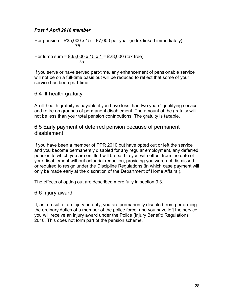#### Post 1 April 2018 member

Her pension =  $£35,000 \times 15 = £7,000$  per year (index linked immediately) <u>75 and 2011 and 2012 and 2014 and 2014 and 2014 and 2014 and 2014 and 2014 and 2014 and 2014 and 2014 and 201</u>

Her lump sum =  $£35,000 \times 15 \times 4 = £28,000$  (tax free) <u>75 and 2011 and 2012 and 2014 and 2014 and 2014 and 2014 and 2014 and 2014 and 2014 and 2014 and 2014 and 201</u>

If you serve or have served part-time, any enhancement of pensionable service will not be on a full-time basis but will be reduced to reflect that some of your service has been part-time.

# 6.4 Ill-health gratuity

An ill-health gratuity is payable if you have less than two years' qualifying service and retire on grounds of permanent disablement. The amount of the gratuity will not be less than your total pension contributions. The gratuity is taxable.

6.5 Early payment of deferred pension because of permanent disablement

If you have been a member of PPR 2010 but have opted out or left the service and you become permanently disabled for any regular employment, any deferred pension to which you are entitled will be paid to you with effect from the date of your disablement without actuarial reduction, providing you were not dismissed or required to resign under the Discipline Regulations (in which case payment will only be made early at the discretion of the Department of Home Affairs ).

The effects of opting out are described more fully in section 9.3.

#### 6.6 Injury award

If, as a result of an injury on duty, you are permanently disabled from performing the ordinary duties of a member of the police force, and you have left the service, you will receive an injury award under the Police (Injury Benefit) Regulations 2010. This does not form part of the pension scheme.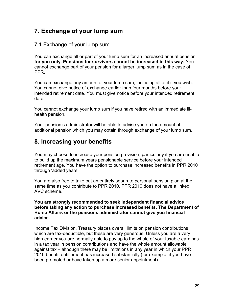# 7. Exchange of your lump sum

# 7.1 Exchange of your lump sum

You can exchange all or part of your lump sum for an increased annual pension for you only. Pensions for survivors cannot be increased in this way. You cannot exchange part of your pension for a larger lump sum as in the case of PPR.

You can exchange any amount of your lump sum, including all of it if you wish. You cannot give notice of exchange earlier than four months before your intended retirement date. You must give notice before your intended retirement date.

You cannot exchange your lump sum if you have retired with an immediate illhealth pension.

Your pension's administrator will be able to advise you on the amount of additional pension which you may obtain through exchange of your lump sum.

# 8. Increasing your benefits

You may choose to increase your pension provision, particularly if you are unable to build up the maximum years pensionable service before your intended retirement age. You have the option to purchase increased benefits in PPR 2010 through 'added years'.

You are also free to take out an entirely separate personal pension plan at the same time as you contribute to PPR 2010. PPR 2010 does not have a linked AVC scheme.

#### You are strongly recommended to seek independent financial advice before taking any action to purchase increased benefits. The Department of Home Affairs or the pensions administrator cannot give you financial advice.

Income Tax Division, Treasury places overall limits on pension contributions which are tax-deductible, but these are very generous. Unless you are a very high earner you are normally able to pay up to the whole of your taxable earnings in a tax year in pension contributions and have the whole amount allowable against tax – although there may be limitations in any year in which your PPR 2010 benefit entitlement has increased substantially (for example, if you have been promoted or have taken up a more senior appointment).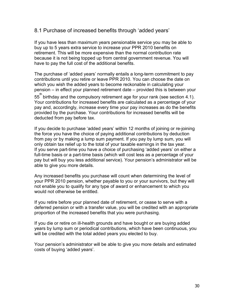### 8.1 Purchase of increased benefits through 'added years'

If you have less than maximum years pensionable service you may be able to buy up to 5 years extra service to increase your PPR 2010 benefits on retirement. This will be more expensive than the normal contribution rate because it is not being topped up from central government revenue. You will have to pay the full cost of the additional benefits.

The purchase of 'added years' normally entails a long-term commitment to pay contributions until you retire or leave PPR 2010. You can choose the date on which you wish the added years to become reckonable in calculating your pension – in effect your planned retirement date – provided this is between your  $55^{\mathsf{th}}$  birthday and the compulsory retirement age for your rank (see section 4.1). Your contributions for increased benefits are calculated as a percentage of your pay and, accordingly, increase every time your pay increases as do the benefits provided by the purchase. Your contributions for increased benefits will be deducted from pay before tax.

If you decide to purchase 'added years' within 12 months of joining or re-joining the force you have the choice of paying additional contributions by deduction from pay or by making a lump sum payment. If you pay by lump sum, you will only obtain tax relief up to the total of your taxable earnings in the tax year. If you serve part-time you have a choice of purchasing 'added years' on either a full-time basis or a part-time basis (which will cost less as a percentage of your pay but will buy you less additional service). Your pension's administrator will be able to give you more details.

Any increased benefits you purchase will count when determining the level of your PPR 2010 pension, whether payable to you or your survivors, but they will not enable you to qualify for any type of award or enhancement to which you would not otherwise be entitled.

If you retire before your planned date of retirement, or cease to serve with a deferred pension or with a transfer value, you will be credited with an appropriate proportion of the increased benefits that you were purchasing.

If you die or retire on ill-health grounds and have bought or are buying added years by lump sum or periodical contributions, which have been continuous, you will be credited with the total added years you elected to buy.

Your pension's administrator will be able to give you more details and estimated costs of buying 'added years'.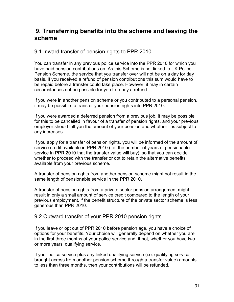# 9. Transferring benefits into the scheme and leaving the scheme

# 9.1 Inward transfer of pension rights to PPR 2010

You can transfer in any previous police service into the PPR 2010 for which you have paid pension contributions on. As this Scheme is not linked to UK Police Pension Scheme, the service that you transfer over will not be on a day for day basis. If you received a refund of pension contributions this sum would have to be repaid before a transfer could take place. However, it may in certain circumstances not be possible for you to repay a refund.

If you were in another pension scheme or you contributed to a personal pension, it may be possible to transfer your pension rights into PPR 2010.

If you were awarded a deferred pension from a previous job, it may be possible for this to be cancelled in favour of a transfer of pension rights, and your previous employer should tell you the amount of your pension and whether it is subject to any increases.

If you apply for a transfer of pension rights, you will be informed of the amount of service credit available in PPR 2010 (i.e. the number of years of pensionable service in PPR 2010 that the transfer value will buy), so that you can decide whether to proceed with the transfer or opt to retain the alternative benefits available from your previous scheme.

A transfer of pension rights from another pension scheme might not result in the same length of pensionable service in the PPR 2010.

A transfer of pension rights from a private sector pension arrangement might result in only a small amount of service credit compared to the length of your previous employment, if the benefit structure of the private sector scheme is less generous than PPR 2010.

# 9.2 Outward transfer of your PPR 2010 pension rights

If you leave or opt out of PPR 2010 before pension age, you have a choice of options for your benefits. Your choice will generally depend on whether you are in the first three months of your police service and, if not, whether you have two or more years' qualifying service.

If your police service plus any linked qualifying service (i.e. qualifying service brought across from another pension scheme through a transfer value) amounts to less than three months, then your contributions will be refunded.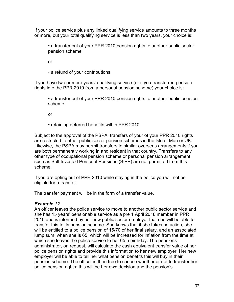If your police service plus any linked qualifying service amounts to three months or more, but your total qualifying service is less than two years, your choice is:

 • a transfer out of your PPR 2010 pension rights to another public sector pension scheme

or

• a refund of your contributions.

If you have two or more years' qualifying service (or if you transferred pension rights into the PPR 2010 from a personal pension scheme) your choice is:

 • a transfer out of your PPR 2010 pension rights to another public pension scheme,

or

• retaining deferred benefits within PPR 2010.

Subject to the approval of the PSPA, transfers of your of your PPR 2010 rights are restricted to other public sector pension schemes in the Isle of Man or UK. Likewise, the PSPA may permit transfers to similar overseas arrangements if you are both permanently working in and resident in that country. Transfers to any other type of occupational pension scheme or personal pension arrangement such as Self Invested Personal Pensions (SIPP) are not permitted from this scheme.

If you are opting out of PPR 2010 while staying in the police you will not be eligible for a transfer.

The transfer payment will be in the form of a transfer value.

#### Example 12

An officer leaves the police service to move to another public sector service and she has 15 years' pensionable service as a pre 1 April 2018 member in PPR 2010 and is informed by her new public sector employer that she will be able to transfer this to its pension scheme. She knows that if she takes no action, she will be entitled to a police pension of 15/70 of her final salary, and an associated lump sum, when she is 65, which will be increased for inflation from the time at which she leaves the police service to her 65th birthday. The pensions administrator, on request, will calculate the cash equivalent transfer value of her police pension rights and provide this information to her new employer. Her new employer will be able to tell her what pension benefits this will buy in their pension scheme. The officer is then free to choose whether or not to transfer her police pension rights; this will be her own decision and the pension's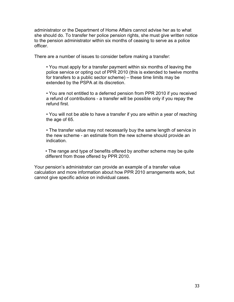administrator or the Department of Home Affairs cannot advise her as to what she should do. To transfer her police pension rights, she must give written notice to the pension administrator within six months of ceasing to serve as a police officer.

There are a number of issues to consider before making a transfer:

 • You must apply for a transfer payment within six months of leaving the police service or opting out of PPR 2010 (this is extended to twelve months for transfers to a public sector scheme) – these time limits may be extended by the PSPA at its discretion.

 • You are not entitled to a deferred pension from PPR 2010 if you received a refund of contributions - a transfer will be possible only if you repay the refund first.

 • You will not be able to have a transfer if you are within a year of reaching the age of 65.

 • The transfer value may not necessarily buy the same length of service in the new scheme - an estimate from the new scheme should provide an indication.

 • The range and type of benefits offered by another scheme may be quite different from those offered by PPR 2010.

Your pension's administrator can provide an example of a transfer value calculation and more information about how PPR 2010 arrangements work, but cannot give specific advice on individual cases.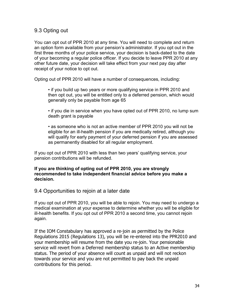# 9.3 Opting out

You can opt out of PPR 2010 at any time. You will need to complete and return an option form available from your pension's administrator. If you opt out in the first three months of your police service, your decision is back-dated to the date of your becoming a regular police officer. If you decide to leave PPR 2010 at any other future date, your decision will take effect from your next pay day after receipt of your notice to opt out.

Opting out of PPR 2010 will have a number of consequences, including:

 • if you build up two years or more qualifying service in PPR 2010 and then opt out, you will be entitled only to a deferred pension, which would generally only be payable from age 65

 • if you die in service when you have opted out of PPR 2010, no lump sum death grant is payable

 • as someone who is not an active member of PPR 2010 you will not be eligible for an ill-health pension if you are medically retired, although you will qualify for early payment of your deferred pension if you are assessed as permanently disabled for all regular employment.

If you opt out of PPR 2010 with less than two years' qualifying service, your pension contributions will be refunded.

#### If you are thinking of opting out of PPR 2010, you are strongly recommended to take independent financial advice before you make a decision.

# 9.4 Opportunities to rejoin at a later date

If you opt out of PPR 2010, you will be able to rejoin. You may need to undergo a medical examination at your expense to determine whether you will be eligible for ill-health benefits. If you opt out of PPR 2010 a second time, you cannot rejoin again.

If the IOM Constabulary has approved a re-join as permitted by the Police Regulations 2015 (Regulations 13), you will be re-entered into the PPR2010 and your membership will resume from the date you re-join. Your pensionable service will revert from a Deferred membership status to an Active membership status. The period of your absence will count as unpaid and will not reckon towards your service and you are not permitted to pay back the unpaid contributions for this period.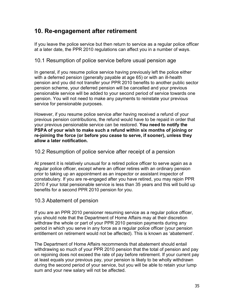# 10. Re-engagement after retirement

If you leave the police service but then return to service as a regular police officer at a later date, the PPR 2010 regulations can affect you in a number of ways.

# 10.1 Resumption of police service before usual pension age

In general, if you resume police service having previously left the police either with a deferred pension (generally payable at age 65) or with an ill-health pension and you did not transfer your PPR 2010 benefits to another public sector pension scheme, your deferred pension will be cancelled and your previous pensionable service will be added to your second period of service towards one pension. You will not need to make any payments to reinstate your previous service for pensionable purposes.

However, if you resume police service after having received a refund of your previous pension contributions, the refund would have to be repaid in order that your previous pensionable service can be restored. You need to notify the PSPA of your wish to make such a refund within six months of joining or re-joining the force (or before you cease to serve, if sooner), unless they allow a later notification.

# 10.2 Resumption of police service after receipt of a pension

At present it is relatively unusual for a retired police officer to serve again as a regular police officer, except where an officer retires with an ordinary pension prior to taking up an appointment as an inspector or assistant inspector of constabulary. If you are re-engaged after you have retired, you may rejoin PPR 2010 if your total pensionable service is less than 35 years and this will build up benefits for a second PPR 2010 pension for you.

# 10.3 Abatement of pension

If you are an PPR 2010 pensioner resuming service as a regular police officer, you should note that the Department of Home Affairs may at their discretion withdraw the whole or part of your PPR 2010 pension payments during any period in which you serve in any force as a regular police officer (your pension entitlement on retirement would not be affected). This is known as 'abatement'.

The Department of Home Affairs recommends that abatement should entail withdrawing so much of your PPR 2010 pension that the total of pension and pay on rejoining does not exceed the rate of pay before retirement. If your current pay at least equals your previous pay, your pension is likely to be wholly withdrawn during the second period of your service, but you will be able to retain your lump sum and your new salary will not be affected.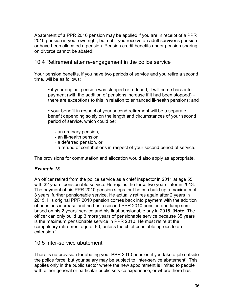Abatement of a PPR 2010 pension may be applied if you are in receipt of a PPR 2010 pension in your own right, but not if you receive an adult survivor's pension or have been allocated a pension. Pension credit benefits under pension sharing on divorce cannot be abated.

10.4 Retirement after re-engagement in the police service

Your pension benefits, if you have two periods of service and you retire a second time, will be as follows:

 • if your original pension was stopped or reduced, it will come back into payment (with the addition of pensions increase if it had been stopped) – there are exceptions to this in relation to enhanced ill-health pensions; and

 • your benefit in respect of your second retirement will be a separate benefit depending solely on the length and circumstances of your second period of service, which could be:

- an ordinary pension,
- an ill-health pension,
- a deferred pension, or
- a refund of contributions in respect of your second period of service.

The provisions for commutation and allocation would also apply as appropriate.

# Example 13

An officer retired from the police service as a chief inspector in 2011 at age 55 with 32 years' pensionable service. He rejoins the force two years later in 2013. The payment of his PPR 2010 pension stops, but he can build up a maximum of 3 years' further pensionable service. He actually retires again after 2 years in 2015. His original PPR 2010 pension comes back into payment with the addition of pensions increase and he has a second PPR 2010 pension and lump sum based on his 2 years' service and his final pensionable pay in 2015. [Note: The officer can only build up 3 more years of pensionable service because 35 years is the maximum pensionable service in PPR 2010. He must retire at the compulsory retirement age of 60, unless the chief constable agrees to an extension.]

# 10.5 Inter-service abatement

There is no provision for abating your PPR 2010 pension if you take a job outside the police force, but your salary may be subject to 'inter-service abatement'. This applies only in the public sector where the new appointment is limited to people with either general or particular public service experience, or where there has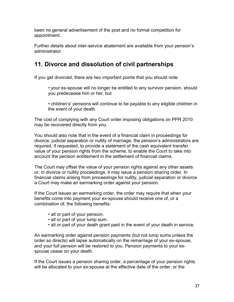been no general advertisement of the post and no formal competition for appointment.

Further details about inter-service abatement are available from your pension's administrator.

# 11. Divorce and dissolution of civil partnerships

If you get divorced, there are two important points that you should note:

 • your ex-spouse will no longer be entitled to any survivor pension, should you predecease him or her, but

 • children's' pensions will continue to be payable to any eligible children in the event of your death.

The cost of complying with any Court order imposing obligations on PPR 2010 may be recovered directly from you.

You should also note that in the event of a financial claim in proceedings for divorce, judicial separation or nullity of marriage, the pension's administrators are required, if requested, to provide a statement of the cash equivalent transfer value of your pension rights from the scheme, to enable the Court to take into account the pension entitlement in the settlement of financial claims.

The Court may offset the value of your pension rights against any other assets or, in divorce or nullity proceedings, it may issue a pension sharing order. In financial claims arising from proceedings for nullity, judicial separation or divorce a Court may make an earmarking order against your pension.

If the Court issues an earmarking order, the order may require that when your benefits come into payment your ex-spouse should receive one of, or a combination of, the following benefits:

- all or part of your pension.
- all or part of your lump sum.
- all or part of your death grant paid in the event of your death in service.

An earmarking order against pension payments (but not lump sums unless the order so directs) will lapse automatically on the remarriage of your ex-spouse, and your full pension will be restored to you. Pension payments to your exspouse cease on your death.

If the Court issues a pension sharing order, a percentage of your pension rights will be allocated to your ex-spouse at the effective date of the order, or the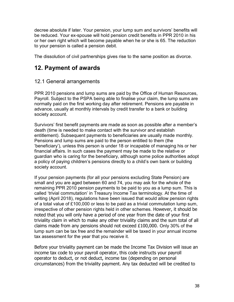decree absolute if later. Your pension, your lump sum and survivors' benefits will be reduced. Your ex-spouse will hold pension credit benefits in PPR 2010 in his or her own right which will become payable when he or she is 65. The reduction to your pension is called a pension debit.

The dissolution of civil partnerships gives rise to the same position as divorce.

# 12. Payment of awards

# 12.1 General arrangements

PPR 2010 pensions and lump sums are paid by the Office of Human Resources, Payroll. Subject to the PSPA being able to finalise your claim, the lump sums are normally paid on the first working day after retirement. Pensions are payable in advance, usually at monthly intervals by credit transfer to a bank or building society account.

Survivors' first benefit payments are made as soon as possible after a member's death (time is needed to make contact with the survivor and establish entitlement). Subsequent payments to beneficiaries are usually made monthly. Pensions and lump sums are paid to the person entitled to them (the 'beneficiary'), unless this person is under 18 or incapable of managing his or her financial affairs. In such cases the payment may be made to the relative or guardian who is caring for the beneficiary, although some police authorities adopt a policy of paying children's pensions directly to a child's own bank or building society account.

If your pension payments (for all your pensions excluding State Pension) are small and you are aged between 60 and 74, you may ask for the whole of the remaining PPR 2010 pension payments to be paid to you as a lump sum. This is called 'trivial commutation' in Treasury Income Tax terminology. At the time of writing (April 2018), regulations have been issued that would allow pension rights of a total value of £100,000 or less to be paid as a trivial commutation lump sum, irrespective of other pension rights held in other schemes. However, it should be noted that you will only have a period of one year from the date of your first triviality claim in which to make any other triviality claims and the sum total of all claims made from any pensions should not exceed £100,000. Only 30% of the lump sum can be tax free and the remainder will be taxed in your annual income tax assessment for the year that you receive it.

Before your triviality payment can be made the Income Tax Division will issue an income tax code to your payroll operator, this code instructs your payroll operator to deduct, or not deduct, income tax (depending on personal circumstances) from the triviality payment. Any tax deducted will be credited to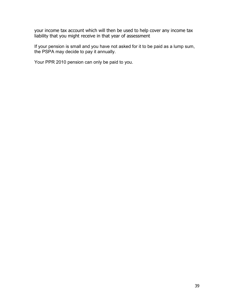your income tax account which will then be used to help cover any income tax liability that you might receive in that year of assessment

If your pension is small and you have not asked for it to be paid as a lump sum, the PSPA may decide to pay it annually.

Your PPR 2010 pension can only be paid to you.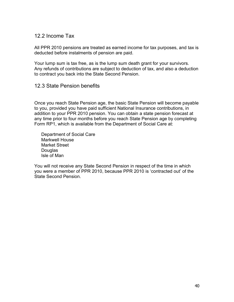### 12.2 Income Tax

All PPR 2010 pensions are treated as earned income for tax purposes, and tax is deducted before instalments of pension are paid.

Your lump sum is tax free, as is the lump sum death grant for your survivors. Any refunds of contributions are subject to deduction of tax, and also a deduction to contract you back into the State Second Pension.

# 12.3 State Pension benefits

Once you reach State Pension age, the basic State Pension will become payable to you, provided you have paid sufficient National Insurance contributions, in addition to your PPR 2010 pension. You can obtain a state pension forecast at any time prior to four months before you reach State Pension age by completing Form RP1, which is available from the Department of Social Care at:

Department of Social Care Markwell House Market Street **Douglas** Isle of Man

You will not receive any State Second Pension in respect of the time in which you were a member of PPR 2010, because PPR 2010 is 'contracted out' of the State Second Pension.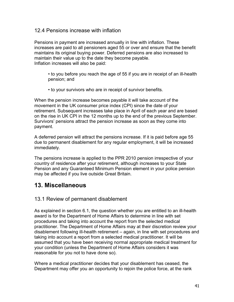### 12.4 Pensions increase with inflation

Pensions in payment are increased annually in line with inflation. These increases are paid to all pensioners aged 55 or over and ensure that the benefit maintains its original buying power. Deferred pensions are also increased to maintain their value up to the date they become payable. Inflation increases will also be paid:

 • to you before you reach the age of 55 if you are in receipt of an ill-health pension; and

• to your survivors who are in receipt of survivor benefits.

When the pension increase becomes payable it will take account of the movement in the UK consumer price index (CPI) since the date of your retirement. Subsequent increases take place in April of each year and are based on the rise in UK CPI in the 12 months up to the end of the previous September. Survivors' pensions attract the pension increase as soon as they come into payment.

A deferred pension will attract the pensions increase. If it is paid before age 55 due to permanent disablement for any regular employment, it will be increased immediately.

The pensions increase is applied to the PPR 2010 pension irrespective of your country of residence after your retirement, although increases to your State Pension and any Guaranteed Minimum Pension element in your police pension may be affected if you live outside Great Britain.

# 13. Miscellaneous

# 13.1 Review of permanent disablement

As explained in section 6.1, the question whether you are entitled to an ill-health award is for the Department of Home Affairs to determine in line with set procedures and taking into account the report from the selected medical practitioner. The Department of Home Affairs may at their discretion review your disablement following ill-health retirement – again, in line with set procedures and taking into account a report from a selected medical practitioner. It will be assumed that you have been receiving normal appropriate medical treatment for your condition (unless the Department of Home Affairs considers it was reasonable for you not to have done so).

Where a medical practitioner decides that your disablement has ceased, the Department may offer you an opportunity to rejoin the police force, at the rank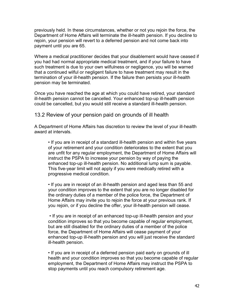previously held. In these circumstances, whether or not you rejoin the force, the Department of Home Affairs will terminate the ill-health pension. If you decline to rejoin, your pension will revert to a deferred pension and not come back into payment until you are 65.

Where a medical practitioner decides that your disablement would have ceased if you had had normal appropriate medical treatment, and if your failure to have such treatment is due to your own wilfulness or negligence, you will be warned that a continued wilful or negligent failure to have treatment may result in the termination of your ill-health pension. If the failure then persists your ill-health pension may be terminated.

Once you have reached the age at which you could have retired, your standard ill-health pension cannot be cancelled. Your enhanced top-up ill-health pension could be cancelled, but you would still receive a standard ill-health pension.

13.2 Review of your pension paid on grounds of ill health

A Department of Home Affairs has discretion to review the level of your ill-health award at intervals.

 • If you are in receipt of a standard ill-health pension and within five years of your retirement and your condition deteriorates to the extent that you are unfit for any regular employment, the Department of Home Affairs will instruct the PSPA to increase your pension by way of paying the enhanced top-up ill-health pension. No additional lump sum is payable. This five-year limit will not apply if you were medically retired with a progressive medical condition.

 • If you are in receipt of an ill-health pension and aged less than 55 and your condition improves to the extent that you are no longer disabled for the ordinary duties of a member of the police force, the Department of Home Affairs may invite you to rejoin the force at your previous rank. If you rejoin, or if you decline the offer, your ill-health pension will cease.

 • If you are in receipt of an enhanced top-up ill-health pension and your condition improves so that you become capable of regular employment, but are still disabled for the ordinary duties of a member of the police force, the Department of Home Affairs will cease payment of your enhanced top-up ill-health pension and you will just receive the standard ill-health pension.

 • If you are in receipt of a deferred pension paid early on grounds of ill health and your condition improves so that you become capable of regular employment, the Department of Home Affairs may instruct the PSPA to stop payments until you reach compulsory retirement age.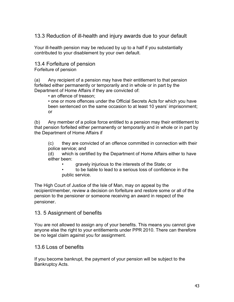13.3 Reduction of ill-health and injury awards due to your default

Your ill-health pension may be reduced by up to a half if you substantially contributed to your disablement by your own default.

# 13.4 Forfeiture of pension

Forfeiture of pension

(a) Any recipient of a pension may have their entitlement to that pension forfeited either permanently or temporarily and in whole or in part by the Department of Home Affairs if they are convicted of:

• an offence of treason;

• one or more offences under the Official Secrets Acts for which you have been sentenced on the same occasion to at least 10 years' imprisonment; or

(b) Any member of a police force entitled to a pension may their entitlement to that pension forfeited either permanently or temporarily and in whole or in part by the Department of Home Affairs if

(c) they are convicted of an offence committed in connection with their police service; and

(d) which is certified by the Department of Home Affairs either to have either been:

• gravely injurious to the interests of the State; or

• to be liable to lead to a serious loss of confidence in the public service.

The High Court of Justice of the Isle of Man, may on appeal by the recipient/member, review a decision on forfeiture and restore some or all of the pension to the pensioner or someone receiving an award in respect of the pensioner.

13. 5 Assignment of benefits

You are not allowed to assign any of your benefits. This means you cannot give anyone else the right to your entitlements under PPR 2010. There can therefore be no legal claim against you for assignment.

# 13.6 Loss of benefits

If you become bankrupt, the payment of your pension will be subject to the Bankruptcy Acts.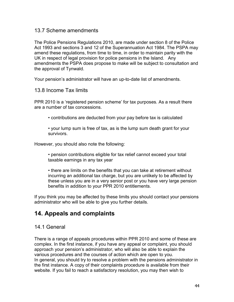#### 13.7 Scheme amendments

The Police Pensions Regulations 2010, are made under section 8 of the Police Act 1993 and sections 3 and 12 of the Superannuation Act 1984. The PSPA may amend these regulations, from time to time, in order to maintain parity with the UK in respect of legal provision for police pensions in the Island. Any amendments the PSPA does propose to make will be subject to consultation and the approval of Tynwald.

Your pension's administrator will have an up-to-date list of amendments.

#### 13.8 Income Tax limits

PPR 2010 is a 'registered pension scheme' for tax purposes. As a result there are a number of tax concessions.

• contributions are deducted from your pay before tax is calculated

 • your lump sum is free of tax, as is the lump sum death grant for your survivors.

However, you should also note the following:

 • pension contributions eligible for tax relief cannot exceed your total taxable earnings in any tax year

 • there are limits on the benefits that you can take at retirement without incurring an additional tax charge, but you are unlikely to be affected by these unless you are in a very senior post or you have very large pension benefits in addition to your PPR 2010 entitlements.

If you think you may be affected by these limits you should contact your pensions administrator who will be able to give you further details.

# 14. Appeals and complaints

# 14.1 General

There is a range of appeals procedures within PPR 2010 and some of these are complex. In the first instance, if you have any appeal or complaint, you should approach your pension's administrator, who will also be able to explain the various procedures and the courses of action which are open to you. In general, you should try to resolve a problem with the pensions administrator in the first instance. A copy of their complaints procedure is available from their website. If you fail to reach a satisfactory resolution, you may then wish to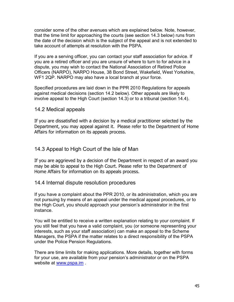consider some of the other avenues which are explained below. Note, however, that the time limit for approaching the courts (see section 14.3 below) runs from the date of the decision which is the subject of the appeal and is not extended to take account of attempts at resolution with the PSPA.

If you are a serving officer, you can contact your staff association for advice. If you are a retired officer and you are unsure of where to turn to for advice in a dispute, you may wish to contact the National Association of Retired Police Officers (NARPO), NARPO House, 38 Bond Street, Wakefield, West Yorkshire, WF1 2QP. NARPO may also have a local branch at your force.

Specified procedures are laid down in the PPR 2010 Regulations for appeals against medical decisions (section 14.2 below). Other appeals are likely to involve appeal to the High Court (section 14.3) or to a tribunal (section 14.4).

# 14.2 Medical appeals

If you are dissatisfied with a decision by a medical practitioner selected by the Department, you may appeal against it. Please refer to the Department of Home Affairs for information on its appeals process.

# 14.3 Appeal to High Court of the Isle of Man

If you are aggrieved by a decision of the Department in respect of an award you may be able to appeal to the High Court. Please refer to the Department of Home Affairs for information on its appeals process.

#### 14.4 Internal dispute resolution procedures

If you have a complaint about the PPR 2010, or its administration, which you are not pursuing by means of an appeal under the medical appeal procedures, or to the High Court, you should approach your pension's administrator in the first instance.

You will be entitled to receive a written explanation relating to your complaint. If you still feel that you have a valid complaint, you (or someone representing your interests, such as your staff association) can make an appeal to the Scheme Managers, the PSPA if the matter relates to a direct responsibility of the PSPA under the Police Pension Regulations.

There are time limits for making applications. More details, together with forms for your use, are available from your pension's administrator or on the PSPA website at www.pspa.im .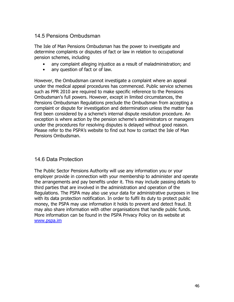# 14.5 Pensions Ombudsman

The Isle of Man Pensions Ombudsman has the power to investigate and determine complaints or disputes of fact or law in relation to occupational pension schemes, including

- any complaint alleging injustice as a result of maladministration; and
- any question of fact or of law.

However, the Ombudsman cannot investigate a complaint where an appeal under the medical appeal procedures has commenced. Public service schemes such as PPR 2010 are required to make specific reference to the Pensions Ombudsman's full powers. However, except in limited circumstances, the Pensions Ombudsman Regulations preclude the Ombudsman from accepting a complaint or dispute for investigation and determination unless the matter has first been considered by a scheme's internal dispute resolution procedure. An exception is where action by the pension scheme's administrators or managers under the procedures for resolving disputes is delayed without good reason. Please refer to the PSPA's website to find out how to contact the Isle of Man Pensions Ombudsman.

# 14.6 Data Protection

The Public Sector Pensions Authority will use any information you or your employer provide in connection with your membership to administer and operate the arrangements and pay benefits under it. This may include passing details to third parties that are involved in the administration and operation of the Regulations. The PSPA may also use your data for administrative purposes in line with its data protection notification. In order to fulfil its duty to protect public money, the PSPA may use information it holds to prevent and detect fraud. It may also share information with other organisations that handle public funds. More information can be found in the PSPA Privacy Policy on its website at www.pspa.im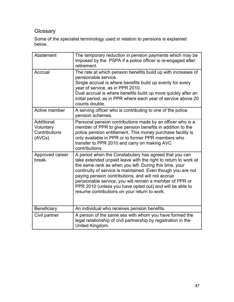# **Glossary**

Some of the specialist terminology used in relation to pensions is explained below.

| Abatement                                          | The temporary reduction in pension payments which may be<br>imposed by the PSPA if a police officer is re-engaged after<br>retirement.                                                                                                                                                                                                                                                                                                                                         |
|----------------------------------------------------|--------------------------------------------------------------------------------------------------------------------------------------------------------------------------------------------------------------------------------------------------------------------------------------------------------------------------------------------------------------------------------------------------------------------------------------------------------------------------------|
| Accrual                                            | The rate at which pension benefits build up with increases of<br>pensionable service.<br>Single accrual is where benefits build up evenly for every<br>year of service, as in PPR 2010.<br>Dual accrual is where benefits build up more quickly after an<br>initial period, as in PPR where each year of service above 20<br>counts double.                                                                                                                                    |
| Active member                                      | A serving officer who is contributing to one of the police<br>pension schemes.                                                                                                                                                                                                                                                                                                                                                                                                 |
| Additional<br>Voluntary<br>Contributions<br>(AVCs) | Personal pension contributions made by an officer who is a<br>member of PPR to give pension benefits in addition to the<br>police pension entitlement. This money purchase facility is<br>only available in PPR or to former PPR members who<br>transfer to PPR 2010 and carry on making AVC<br>contributions.                                                                                                                                                                 |
| Approved career<br>break                           | A period when the Constabulary has agreed that you can<br>take extended unpaid leave with the right to return to work at<br>the same rank as when you left. During this time, your<br>continuity of service is maintained. Even though you are not<br>paying pension contributions, and will not accrue<br>pensionable service, you will remain a member of PPR or<br>PPR 2010 (unless you have opted out) and will be able to<br>resume contributions on your return to work. |
| Beneficiary                                        | An individual who receives pension benefits.                                                                                                                                                                                                                                                                                                                                                                                                                                   |
| Civil partner                                      | A person of the same sex with whom you have formed the<br>legal relationship of civil partnership by registration in the<br>United Kingdom.                                                                                                                                                                                                                                                                                                                                    |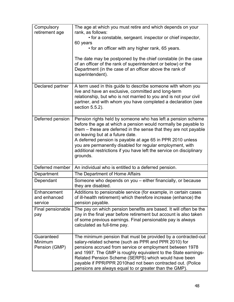| Compulsory<br>retirement age           | The age at which you must retire and which depends on your<br>rank, as follows:                                                                                                                                                                                                                                                                                                                                                                       |
|----------------------------------------|-------------------------------------------------------------------------------------------------------------------------------------------------------------------------------------------------------------------------------------------------------------------------------------------------------------------------------------------------------------------------------------------------------------------------------------------------------|
|                                        | • for a constable, sergeant. inspector or chief inspector,<br>60 years                                                                                                                                                                                                                                                                                                                                                                                |
|                                        | • for an officer with any higher rank, 65 years.                                                                                                                                                                                                                                                                                                                                                                                                      |
|                                        | The date may be postponed by the chief constable (in the case<br>of an officer of the rank of superintendent or below) or the<br>Department (in the case of an officer above the rank of<br>superintendent).                                                                                                                                                                                                                                          |
| Declared partner                       | A term used in this guide to describe someone with whom you<br>live and have an exclusive, committed and long-term<br>relationship, but who is not married to you and is not your civil<br>partner, and with whom you have completed a declaration (see<br>section 5.5.2).                                                                                                                                                                            |
| Deferred pension                       | Pension rights held by someone who has left a pension scheme<br>before the age at which a pension would normally be payable to<br>them – these are deferred in the sense that they are not payable<br>on leaving but at a future date.<br>A deferred pension is payable at age 65 in PPR 2010 unless<br>you are permanently disabled for regular employment, with<br>additional restrictions if you have left the service on disciplinary<br>grounds. |
| Deferred member                        | An individual who is entitled to a deferred pension.                                                                                                                                                                                                                                                                                                                                                                                                  |
| Department                             | The Department of Home Affairs                                                                                                                                                                                                                                                                                                                                                                                                                        |
| Dependant                              | Someone who depends on you - either financially, or because<br>they are disabled.                                                                                                                                                                                                                                                                                                                                                                     |
| Enhancement<br>and enhanced<br>service | Additions to pensionable service (for example, in certain cases<br>of ill-health retirement) which therefore increase (enhance) the<br>pension payable.                                                                                                                                                                                                                                                                                               |
| Final pensionable<br>pay               | The pay on which pension benefits are based. It will often be the<br>pay in the final year before retirement but account is also taken<br>of some previous earnings. Final pensionable pay is always<br>calculated as full-time pay.                                                                                                                                                                                                                  |
| Guaranteed<br>Minimum<br>Pension (GMP) | The minimum pension that must be provided by a contracted-out<br>salary-related scheme (such as PPR and PPR 2010) for<br>pensions accrued from service or employment between 1978<br>and 1997. The GMP is roughly equivalent to the State earnings-<br>Related Pension Scheme (SERPS) which would have been<br>payable if PPR/PPR 2010had not been contracted out. (Police<br>pensions are always equal to or greater than the GMP).                  |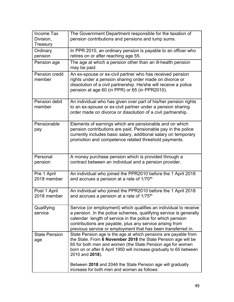| Income Tax<br>Division,<br>Treasury | The Government Department responsible for the taxation of<br>pension contributions and pensions and lump sums.                                                                                                                                                                                                                  |
|-------------------------------------|---------------------------------------------------------------------------------------------------------------------------------------------------------------------------------------------------------------------------------------------------------------------------------------------------------------------------------|
| Ordinary<br>pension                 | In PPR 2010, an ordinary pension is payable to an officer who<br>retires on or after reaching age 55.                                                                                                                                                                                                                           |
| Pension age                         | The age at which a pension other than an ill-health pension<br>may be paid.                                                                                                                                                                                                                                                     |
| Pension credit<br>member            | An ex-spouse or ex-civil partner who has received pension<br>rights under a pension sharing order made on divorce or<br>dissolution of a civil partnership. He/she will receive a police<br>pension at age 60 (in PPR) or 65 (in PPR2010).                                                                                      |
| Pension debit<br>member             | An individual who has given over part of his/her pension rights<br>to an ex-spouse or ex-civil partner under a pension sharing<br>order made on divorce or dissolution of a civil partnership.                                                                                                                                  |
| Pensionable<br>pay                  | Elements of earnings which are pensionable and on which<br>pension contributions are paid. Pensionable pay in the police<br>currently includes basic salary, additional salary on temporary<br>promotion and competence related threshold payments.                                                                             |
| Personal<br>pension                 | A money purchase pension which is provided through a<br>contract between an individual and a pension provider.                                                                                                                                                                                                                  |
| Pre 1 April<br>2018 member          | An individual who joined the PPR2010 before the 1 April 2018<br>and accrues a pension at a rate of 1/70 <sup>th</sup>                                                                                                                                                                                                           |
| Post 1 April<br>2018 member         | An individual who joined the PPR2010 before the 1 April 2018<br>and accrues a pension at a rate of 1/75 <sup>th</sup>                                                                                                                                                                                                           |
| Qualifying<br>service               | Service (or employment) which qualifies an individual to receive<br>a pension. In the police schemes, qualifying service is generally<br>calendar length of service in the police for which pension<br>contributions are payable, plus any service arising from<br>previous service or employment that has been transferred in. |
| <b>State Pension</b><br>age         | State Pension age is the age at which pensions are payable from<br>the State. From 6 November 2018 the State Pension age will be<br>65 for both men and women (the State Pension age for women<br>born on or after 6 April 1950 will increase gradually to 65 between<br>2010 and 2018).                                        |
|                                     | Between 2018 and 2046 the State Pension age will gradually<br>increase for both men and women as follows:                                                                                                                                                                                                                       |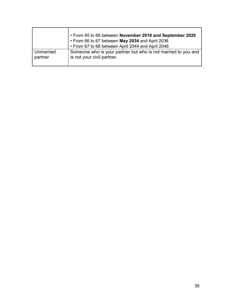|           | • From 65 to 66 between November 2018 and September 2020<br>• From 66 to 67 between May 2034 and April 2036<br>• From 67 to 68 between April 2044 and April 2046 |
|-----------|------------------------------------------------------------------------------------------------------------------------------------------------------------------|
| Unmarried | Someone who is your partner but who is not married to you and                                                                                                    |
| partner   | is not your civil partner.                                                                                                                                       |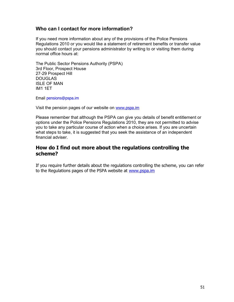# Who can I contact for more information?

If you need more information about any of the provisions of the Police Pensions Regulations 2010 or you would like a statement of retirement benefits or transfer value you should contact your pensions administrator by writing to or visiting them during normal office hours at:

The Public Sector Pensions Authority (PSPA) 3rd Floor, Prospect House 27-29 Prospect Hill DOUGLAS ISLE OF MAN IM1 1ET

Email pensions@pspa.im

Visit the pension pages of our website on www.pspa.im

Please remember that although the PSPA can give you details of benefit entitlement or options under the Police Pensions Regulations 2010, they are not permitted to advise you to take any particular course of action when a choice arises. If you are uncertain what steps to take, it is suggested that you seek the assistance of an independent financial adviser.

# How do I find out more about the regulations controlling the scheme?

If you require further details about the regulations controlling the scheme, you can refer to the Regulations pages of the PSPA website at www.pspa.im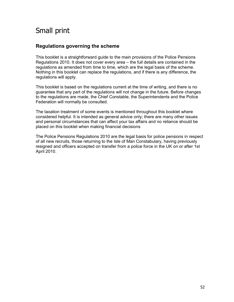# Small print

# Regulations governing the scheme

This booklet is a straightforward guide to the main provisions of the Police Pensions Regulations 2010. It does not cover every area – the full details are contained in the regulations as amended from time to time, which are the legal basis of the scheme. Nothing in this booklet can replace the regulations, and if there is any difference, the regulations will apply.

This booklet is based on the regulations current at the time of writing, and there is no guarantee that any part of the regulations will not change in the future. Before changes to the regulations are made, the Chief Constable, the Superintendents and the Police Federation will normally be consulted.

The taxation treatment of some events is mentioned throughout this booklet where considered helpful. It is intended as general advice only; there are many other issues and personal circumstances that can affect your tax affairs and no reliance should be placed on this booklet when making financial decisions

The Police Pensions Regulations 2010 are the legal basis for police pensions in respect of all new recruits, those returning to the Isle of Man Constabulary, having previously resigned and officers accepted on transfer from a police force in the UK on or after 1st April 2010.